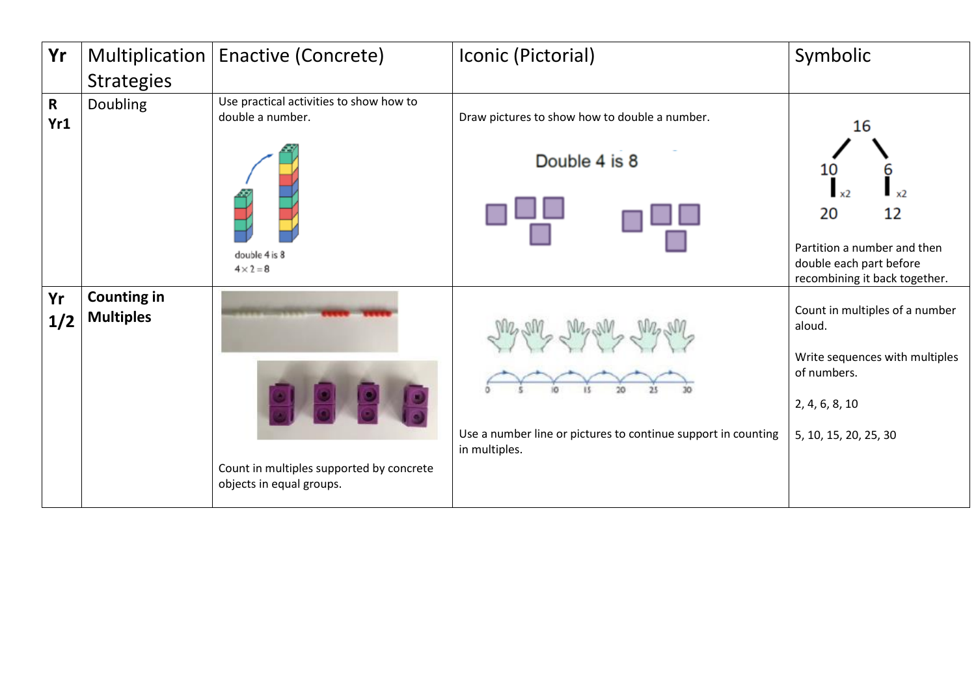| Yr                  |                                        | Multiplication   Enactive (Concrete)                                 | Iconic (Pictorial)                                                             | Symbolic                                                                                                                             |
|---------------------|----------------------------------------|----------------------------------------------------------------------|--------------------------------------------------------------------------------|--------------------------------------------------------------------------------------------------------------------------------------|
|                     | <b>Strategies</b>                      |                                                                      |                                                                                |                                                                                                                                      |
| $\mathsf{R}$<br>Yr1 | <b>Doubling</b>                        | Use practical activities to show how to<br>double a number.          | Draw pictures to show how to double a number.<br>Double 4 is 8                 | 16<br>10                                                                                                                             |
|                     |                                        | double 4 is 8<br>$4 \times 2 = 8$                                    |                                                                                | x <sub>2</sub><br>12<br>20<br>Partition a number and then<br>double each part before<br>recombining it back together.                |
| Yr<br>1/2           | <b>Counting in</b><br><b>Multiples</b> | Count in multiples supported by concrete<br>objects in equal groups. | Use a number line or pictures to continue support in counting<br>in multiples. | Count in multiples of a number<br>aloud.<br>Write sequences with multiples<br>of numbers.<br>2, 4, 6, 8, 10<br>5, 10, 15, 20, 25, 30 |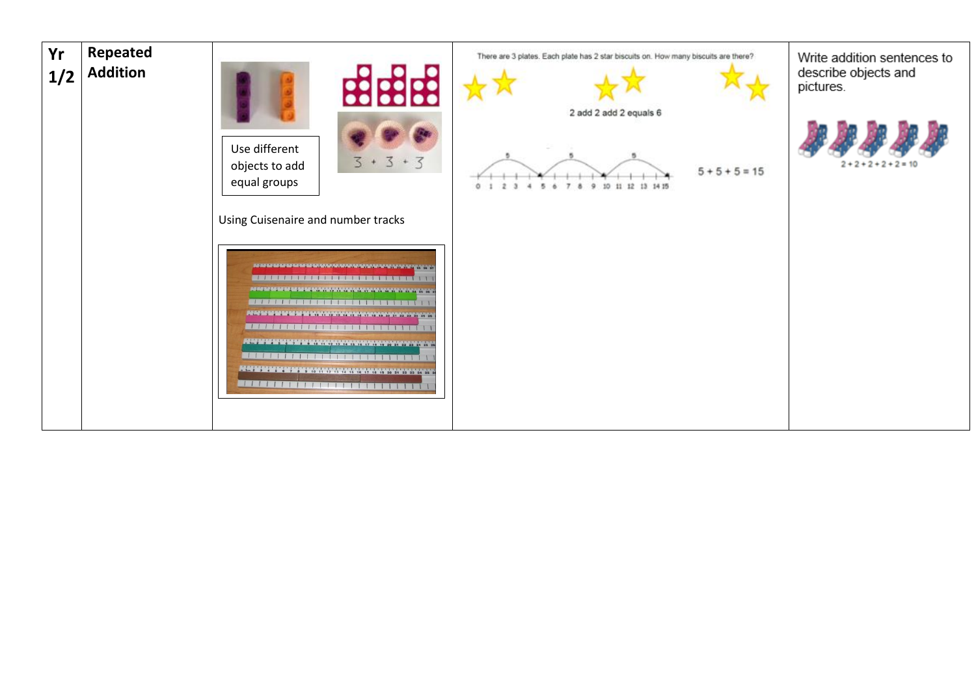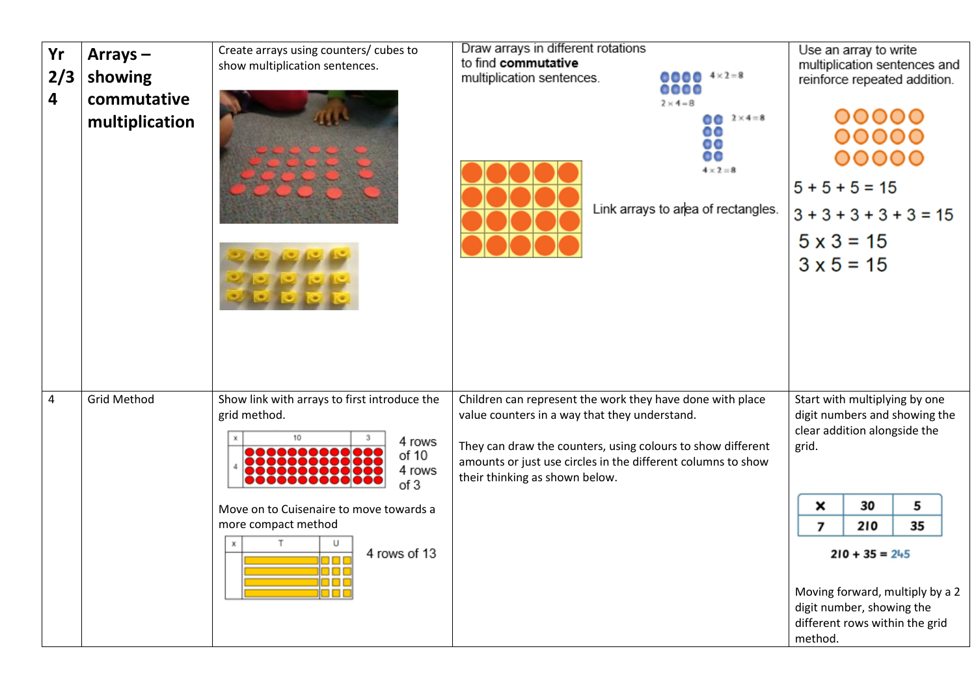| Yr<br>2/3<br>4 | $Arrays -$<br>showing<br>commutative<br>multiplication | Create arrays using counters/ cubes to<br>show multiplication sentences.                                                                                                                                                                         | Draw arrays in different rotations<br>to find commutative<br>$00004 \times 2=8$<br>multiplication sentences.<br><br>$2 \times 4 = 8$<br>$0 2 \times 4 = 8$<br>00<br>00<br>oo<br>$4 \times 2 = 8$<br>Link arrays to area of rectangles.                                      | Use an array to write<br>multiplication sentences and<br>reinforce repeated addition.<br>00000<br>00000<br>00000<br>$5 + 5 + 5 = 15$<br>$3 + 3 + 3 + 3 + 3 = 15$<br>$5 \times 3 = 15$<br>$3 \times 5 = 15$                                                                 |
|----------------|--------------------------------------------------------|--------------------------------------------------------------------------------------------------------------------------------------------------------------------------------------------------------------------------------------------------|-----------------------------------------------------------------------------------------------------------------------------------------------------------------------------------------------------------------------------------------------------------------------------|----------------------------------------------------------------------------------------------------------------------------------------------------------------------------------------------------------------------------------------------------------------------------|
| $\overline{4}$ | <b>Grid Method</b>                                     | Show link with arrays to first introduce the<br>grid method.<br>10<br>4 rows<br>,,,,,,,,,,<br>of 10<br>4 rows<br>of 3<br>Move on to Cuisenaire to move towards a<br>more compact method<br>U<br>4 rows of 13<br>88 B B<br>0 D D<br>1000<br>O D U | Children can represent the work they have done with place<br>value counters in a way that they understand.<br>They can draw the counters, using colours to show different<br>amounts or just use circles in the different columns to show<br>their thinking as shown below. | Start with multiplying by one<br>digit numbers and showing the<br>clear addition alongside the<br>grid.<br>30<br>5<br>×<br>210<br>35<br>7<br>$210 + 35 = 245$<br>Moving forward, multiply by a 2<br>digit number, showing the<br>different rows within the grid<br>method. |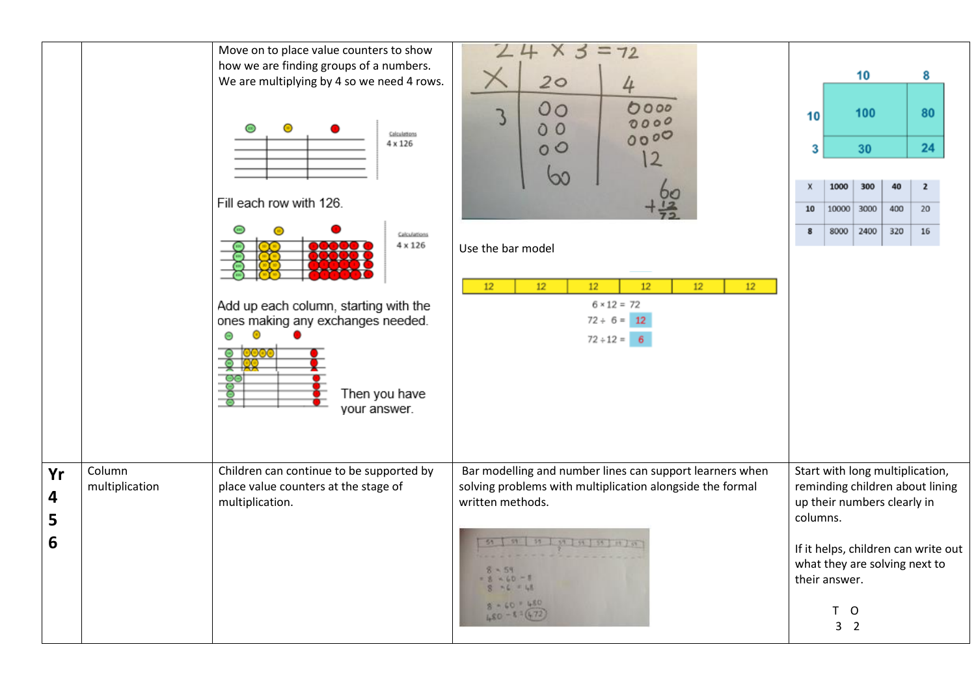|                   |                          | Move on to place value counters to show<br>how we are finding groups of a numbers.<br>We are multiplying by 4 so we need 4 rows.<br>◉<br>Calculations<br>4 x 126<br>Fill each row with 126.<br>⊕<br>Calculations<br>4 x 126<br>Add up each column, starting with the<br>ones making any exchanges needed.<br>⊙<br>Θ<br>ಂಂ<br>Then you have<br>your answer. | $3 = 72$<br>X<br>20<br>4<br>00<br>0000<br>0000<br>00<br>0000<br>00<br>$\overline{2}$<br>Ø.<br>Use the bar model<br>12<br>12<br>12<br>12<br>12<br>12<br>$6 \times 12 = 72$<br>$72 \div 6 = 12$<br>$72 \div 12 = 6$                         | 10<br>3<br>x<br>10<br>8 | 1000<br>8000                                                          | 10<br>100<br>30<br>300<br>10000 3000<br>2400 | 40<br>400<br>320 | 8<br>80<br>24<br>$\overline{2}$<br>20<br>16                                                                                                |  |
|-------------------|--------------------------|------------------------------------------------------------------------------------------------------------------------------------------------------------------------------------------------------------------------------------------------------------------------------------------------------------------------------------------------------------|-------------------------------------------------------------------------------------------------------------------------------------------------------------------------------------------------------------------------------------------|-------------------------|-----------------------------------------------------------------------|----------------------------------------------|------------------|--------------------------------------------------------------------------------------------------------------------------------------------|--|
| Yr<br>4<br>5<br>6 | Column<br>multiplication | Children can continue to be supported by<br>place value counters at the stage of<br>multiplication.                                                                                                                                                                                                                                                        | Bar modelling and number lines can support learners when<br>solving problems with multiplication alongside the formal<br>written methods.<br>51 91 91 91 91 91 92 11 70<br>$8 - 60 = 8$<br>$76 = 18$<br>$8 - 60 + 480$<br>$480 - 87(472)$ | columns.                | up their numbers clearly in<br>their answer.<br>T O<br>3 <sub>2</sub> |                                              |                  | Start with long multiplication,<br>reminding children about lining<br>If it helps, children can write out<br>what they are solving next to |  |